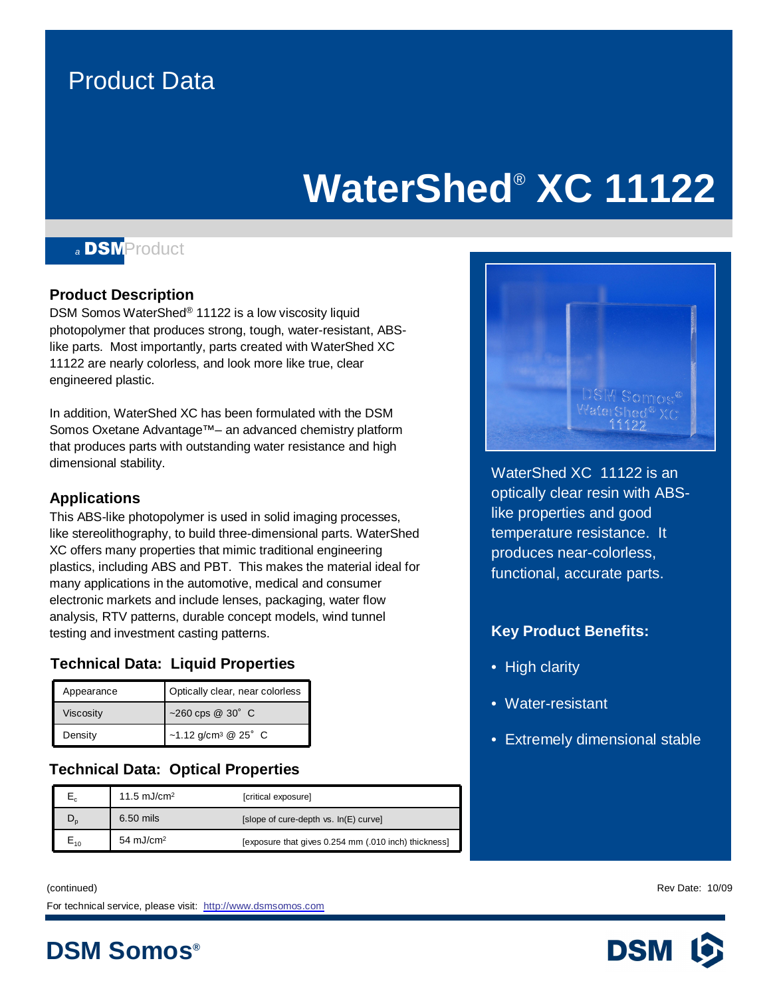### Product Data

## **WaterShed**® **XC 11122**



### **Product Description**

DSM Somos WaterShed® 11122 is a low viscosity liquid photopolymer that produces strong, tough, water-resistant, ABSlike parts. Most importantly, parts created with WaterShed XC 11122 are nearly colorless, and look more like true, clear engineered plastic.

In addition, WaterShed XC has been formulated with the DSM Somos Oxetane Advantage™- an advanced chemistry platform that produces parts with outstanding water resistance and high dimensional stability.

### **Applications**

This ABS-like photopolymer is used in solid imaging processes, like stereolithography, to build three-dimensional parts. WaterShed XC offers many properties that mimic traditional engineering plastics, including ABS and PBT. This makes the material ideal for many applications in the automotive, medical and consumer electronic markets and include lenses, packaging, water flow analysis, RTV patterns, durable concept models, wind tunnel testing and investment casting patterns.

### **Technical Data: Liquid Properties**

| Appearance | Optically clear, near colorless          |  |  |
|------------|------------------------------------------|--|--|
| Viscosity  | ~260 cps @ 30° C                         |  |  |
| Density    | ~1.12 g/cm <sup>3</sup> @ $25^{\circ}$ C |  |  |

### **Technical Data: Optical Properties**

|     | 11.5 $mJ/cm2$         | [critical exposure]                                  |
|-----|-----------------------|------------------------------------------------------|
| ັ   | 6.50 mils             | [slope of cure-depth vs. In(E) curve]                |
| ⊏10 | 54 mJ/cm <sup>2</sup> | [exposure that gives 0.254 mm (.010 inch) thickness] |

(continued) Rev Date: 10/09 For technical service, please visit: <http://www.dsmsomos.com>

**DSM Somos®**



late constants in the call of the call of the call of the call of the call of the call of the call of the call o like properties and good 'sfjalja;slfjaslfjasfasdf;ao produces near-colorless, functional, accurate parts. WaterShed XC 11122 is an temperature resistance. It

### **Key Product Benefits:**

- High clarity
- Water-resistant
- Extremely dimensional stable

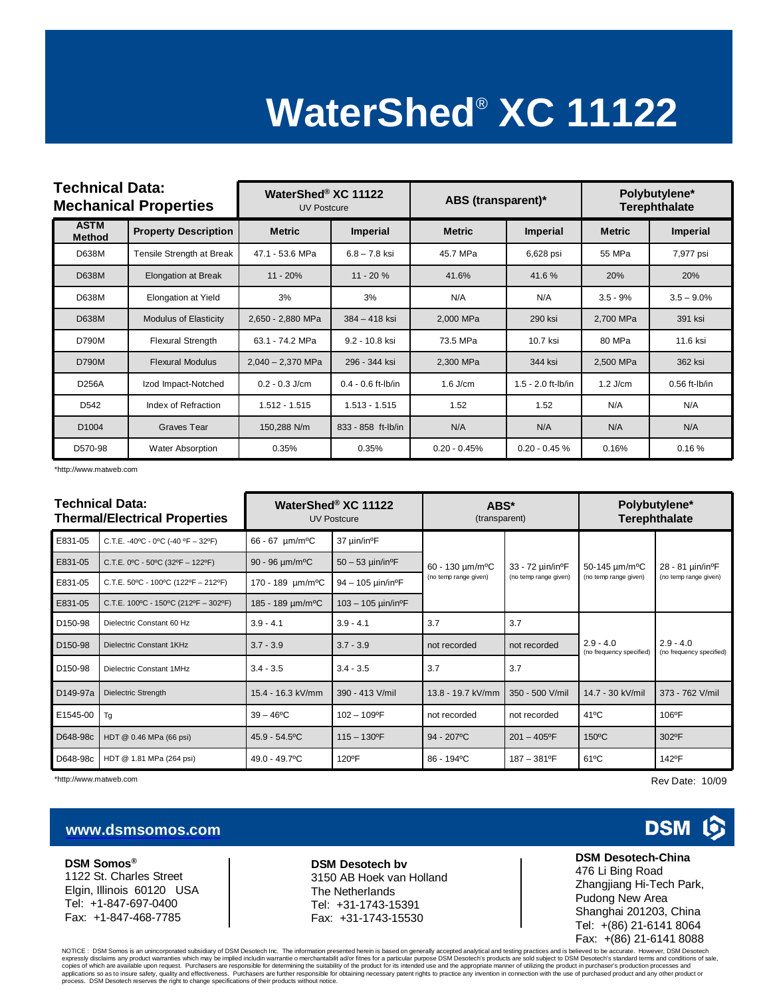# **WaterShed**® **XC 11122**

| <b>Technical Data:</b><br><b>Mechanical Properties</b> |                              | WaterShed® XC 11122<br><b>UV Postcure</b> |                      | ABS (transparent)* |                    | Polybutylene*<br><b>Terephthalate</b> |                 |
|--------------------------------------------------------|------------------------------|-------------------------------------------|----------------------|--------------------|--------------------|---------------------------------------|-----------------|
| <b>ASTM</b><br><b>Method</b>                           | <b>Property Description</b>  | <b>Metric</b>                             | <b>Imperial</b>      | <b>Metric</b>      | <b>Imperial</b>    | <b>Metric</b>                         | <b>Imperial</b> |
| D638M                                                  | Tensile Strength at Break    | 47.1 - 53.6 MPa                           | $6.8 - 7.8$ ksi      | 45.7 MPa           | 6,628 psi          | 55 MPa                                | 7,977 psi       |
| <b>D638M</b>                                           | <b>Elongation at Break</b>   | $11 - 20%$                                | $11 - 20%$           | 41.6%              | 41.6%              | 20%                                   | 20%             |
| D638M                                                  | Elongation at Yield          | 3%                                        | 3%                   | N/A                | N/A                | $3.5 - 9%$                            | $3.5 - 9.0\%$   |
| <b>D638M</b>                                           | <b>Modulus of Elasticity</b> | 2,650 - 2,880 MPa                         | $384 - 418$ ksi      | 2,000 MPa          | 290 ksi            | 2,700 MPa                             | 391 ksi         |
| D790M                                                  | <b>Flexural Strength</b>     | 63.1 - 74.2 MPa                           | 9.2 - 10.8 ksi       | 73.5 MPa           | 10.7 ksi           | 80 MPa                                | 11.6 ksi        |
| <b>D790M</b>                                           | <b>Flexural Modulus</b>      | $2,040 - 2,370$ MPa                       | 296 - 344 ksi        | 2,300 MPa          | 344 ksi            | 2,500 MPa                             | 362 ksi         |
| <b>D256A</b>                                           | Izod Impact-Notched          | $0.2 - 0.3$ J/cm                          | $0.4 - 0.6$ ft-lb/in | $1.6$ J/cm         | 1.5 - 2.0 ft-lb/in | $1.2$ J/cm                            | $0.56$ ft-lb/in |
| D542                                                   | Index of Refraction          | $1.512 - 1.515$                           | $1.513 - 1.515$      | 1.52               | 1.52               | N/A                                   | N/A             |
| D <sub>1004</sub>                                      | Graves Tear                  | 150,288 N/m                               | 833 - 858 ft-lb/in   | N/A                | N/A                | N/A                                   | N/A             |
| D570-98                                                | <b>Water Absorption</b>      | 0.35%                                     | 0.35%                | $0.20 - 0.45%$     | $0.20 - 0.45 %$    | 0.16%                                 | 0.16%           |

\*http://www.matweb.com

| Technical Data:<br><b>Thermal/Electrical Properties</b> |                                               | WaterShed <sup>®</sup> XC 11122<br><b>UV Postcure</b> |                                     | ABS*<br>(transparent)                                 |                                                        | Polybutylene*<br><b>Terephthalate</b>               |                                                        |
|---------------------------------------------------------|-----------------------------------------------|-------------------------------------------------------|-------------------------------------|-------------------------------------------------------|--------------------------------------------------------|-----------------------------------------------------|--------------------------------------------------------|
| E831-05                                                 | C.T.E. -40°C - 0°C (-40 °F - 32°F)            | $66 - 67$ µm/m <sup>o</sup> C                         | 37 µin/in <sup>o</sup> F            | 60 - 130 um/m <sup>o</sup> C<br>(no temp range given) | 33 - 72 µin/in <sup>o</sup> F<br>(no temp range given) | 50-145 um/m <sup>o</sup> C<br>(no temp range given) | 28 - 81 µin/in <sup>o</sup> F<br>(no temp range given) |
| E831-05                                                 | C.T.E. $0^{\circ}$ C - 50°C (32°F - 122°F)    | $90 - 96 \mu m/m^oC$                                  | $50 - 53$ µin/in <sup>o</sup> F     |                                                       |                                                        |                                                     |                                                        |
| E831-05                                                 | C.T.E. $50^{\circ}$ C - 100°C (122°F - 212°F) | 170 - 189 µm/m <sup>o</sup> C                         | $94 - 105 \mu$ in/in <sup>o</sup> F |                                                       |                                                        |                                                     |                                                        |
| E831-05                                                 | C.T.E. 100°C - 150°C (212°F - 302°F)          | 185 - 189 um/m <sup>o</sup> C                         | $103 - 105$ µin/in <sup>o</sup> F   |                                                       |                                                        |                                                     |                                                        |
| D150-98                                                 | Dielectric Constant 60 Hz                     | $3.9 - 4.1$                                           | $3.9 - 4.1$                         | 3.7                                                   | 3.7                                                    | $2.9 - 4.0$<br>(no frequency specified)             | $2.9 - 4.0$<br>(no frequency specified)                |
| D <sub>150-98</sub>                                     | Dielectric Constant 1KHz                      | $3.7 - 3.9$                                           | $3.7 - 3.9$                         | not recorded                                          | not recorded                                           |                                                     |                                                        |
| D <sub>150-98</sub>                                     | Dielectric Constant 1MHz                      | $3.4 - 3.5$                                           | $3.4 - 3.5$                         | 3.7                                                   | 3.7                                                    |                                                     |                                                        |
| D149-97a                                                | <b>Dielectric Strength</b>                    | 15.4 - 16.3 kV/mm                                     | 390 - 413 V/mil                     | 13.8 - 19.7 kV/mm                                     | 350 - 500 V/mil                                        | 14.7 - 30 kV/mil                                    | 373 - 762 V/mil                                        |
| E1545-00                                                | Tg                                            | $39 - 46^{\circ}$ C                                   | $102 - 109$ °F                      | not recorded                                          | not recorded                                           | $41^{\circ}$ C                                      | 106°F                                                  |
| D648-98c                                                | HDT @ 0.46 MPa (66 psi)                       | $45.9 - 54.5$ <sup>o</sup> C                          | $115 - 130$ <sup>o</sup> F          | $94 - 207$ °C                                         | $201 - 405$ °F                                         | $150^{\circ}$ C                                     | 302°F                                                  |
| D648-98c                                                | HDT @ 1.81 MPa (264 psi)                      | 49.0 - 49.7°C                                         | 120°F                               | 86 - 194°C                                            | $187 - 381$ <sup>o</sup> F                             | $61^{\circ}$ C                                      | 142°F                                                  |

\*http://www.matweb.com Rev Date: 10/09

### **[www.dsmsomos.com](http://www.dsmsomos.com)**

**DSM Somos®** 1122 St. Charles Street Elgin, Illinois 60120 USA Tel: +1-847-697-0400 Fax: +1-847-468-7785

#### **DSM Desotech bv** 3150 AB Hoek van Holland The Netherlands Tel: +31-1743-15391 Fax: +31-1743-15530

0

**DSM** 

#### **DSM Desotech-China** 476 Li Bing Road Zhangjiang Hi-Tech Park, Pudong New Area Shanghai 201203, China Tel: +(86) 21-6141 8064 Fax: +(86) 21-6141 8088

NOTICE : DSM Somos is an unincorporated subsidiary of DSM Desotech Inc. The information presented herein is based on generally accepted analytical and testing practices and is believed to be accurate. However, DSM Desotech expressly disclaims any product warranties which may be implied includin warrantie o merchantabilit ad/or fitnes for a particular purpose DSM Desotech's products are sold subject to DSM Desotech's standard terms and condit